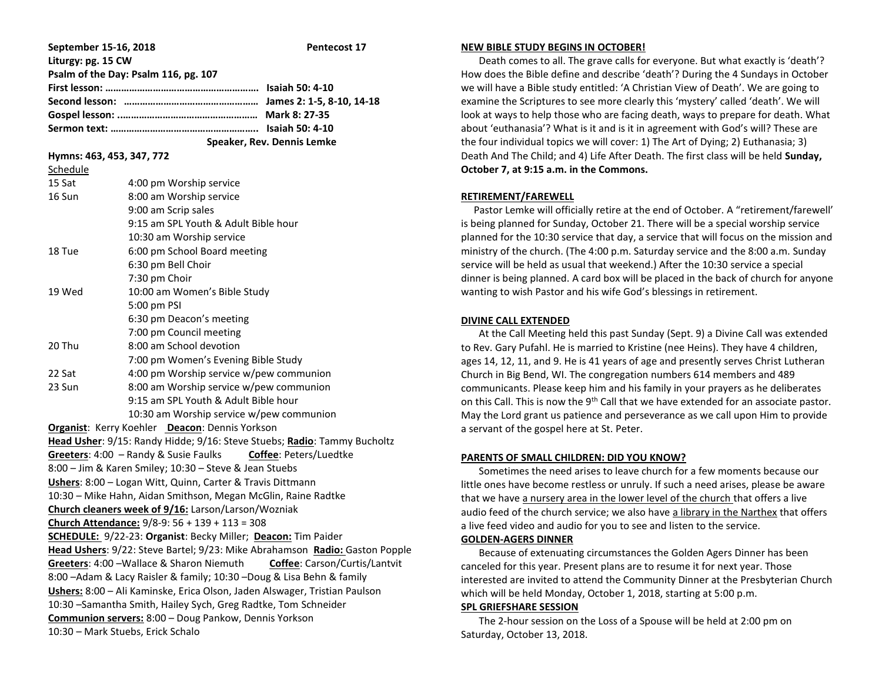| September 15-16, 2018                                                       |                                          | <b>Pentecost 17</b> |
|-----------------------------------------------------------------------------|------------------------------------------|---------------------|
| Liturgy: pg. 15 CW                                                          |                                          |                     |
| Psalm of the Day: Psalm 116, pg. 107                                        |                                          |                     |
|                                                                             |                                          |                     |
|                                                                             |                                          |                     |
|                                                                             |                                          |                     |
|                                                                             |                                          |                     |
| Speaker, Rev. Dennis Lemke                                                  |                                          |                     |
| Hymns: 463, 453, 347, 772                                                   |                                          |                     |
| Schedule                                                                    |                                          |                     |
| 15 Sat                                                                      | 4:00 pm Worship service                  |                     |
| 16 Sun                                                                      | 8:00 am Worship service                  |                     |
|                                                                             | 9:00 am Scrip sales                      |                     |
|                                                                             | 9:15 am SPL Youth & Adult Bible hour     |                     |
|                                                                             | 10:30 am Worship service                 |                     |
| 18 Tue                                                                      | 6:00 pm School Board meeting             |                     |
|                                                                             | 6:30 pm Bell Choir                       |                     |
|                                                                             | 7:30 pm Choir                            |                     |
| 19 Wed                                                                      | 10:00 am Women's Bible Study             |                     |
|                                                                             | 5:00 pm PSI                              |                     |
|                                                                             | 6:30 pm Deacon's meeting                 |                     |
|                                                                             | 7:00 pm Council meeting                  |                     |
| 20 Thu                                                                      | 8:00 am School devotion                  |                     |
|                                                                             | 7:00 pm Women's Evening Bible Study      |                     |
| 22 Sat                                                                      | 4:00 pm Worship service w/pew communion  |                     |
| 23 Sun                                                                      | 8:00 am Worship service w/pew communion  |                     |
|                                                                             | 9:15 am SPL Youth & Adult Bible hour     |                     |
|                                                                             | 10:30 am Worship service w/pew communion |                     |
| Organist: Kerry Koehler Deacon: Dennis Yorkson                              |                                          |                     |
| Head Usher: 9/15: Randy Hidde; 9/16: Steve Stuebs; Radio: Tammy Bucholtz    |                                          |                     |
| Greeters: 4:00 - Randy & Susie Faulks<br><b>Coffee: Peters/Luedtke</b>      |                                          |                     |
| 8:00 - Jim & Karen Smiley; 10:30 - Steve & Jean Stuebs                      |                                          |                     |
| Ushers: 8:00 - Logan Witt, Quinn, Carter & Travis Dittmann                  |                                          |                     |
| 10:30 - Mike Hahn, Aidan Smithson, Megan McGlin, Raine Radtke               |                                          |                     |
| Church cleaners week of 9/16: Larson/Larson/Wozniak                         |                                          |                     |
| Church Attendance: $9/8 - 9$ : 56 + 139 + 113 = 308                         |                                          |                     |
| SCHEDULE: 9/22-23: Organist: Becky Miller; Deacon: Tim Paider               |                                          |                     |
| Head Ushers: 9/22: Steve Bartel; 9/23: Mike Abrahamson Radio: Gaston Popple |                                          |                     |
| Greeters: 4:00 - Wallace & Sharon Niemuth<br>Coffee: Carson/Curtis/Lantvit  |                                          |                     |
| 8:00 - Adam & Lacy Raisler & family; 10:30 - Doug & Lisa Behn & family      |                                          |                     |
| Ushers: 8:00 - Ali Kaminske, Erica Olson, Jaden Alswager, Tristian Paulson  |                                          |                     |
| 10:30 - Samantha Smith, Hailey Sych, Greg Radtke, Tom Schneider             |                                          |                     |
| Communion servers: 8:00 - Doug Pankow, Dennis Yorkson                       |                                          |                     |
| 10:30 - Mark Stuebs, Erick Schalo                                           |                                          |                     |

#### **NEW BIBLE STUDY BEGINS IN OCTOBER!**

 Death comes to all. The grave calls for everyone. But what exactly is 'death'? How does the Bible define and describe 'death'? During the 4 Sundays in October we will have a Bible study entitled: 'A Christian View of Death'. We are going to examine the Scriptures to see more clearly this 'mystery' called 'death'. We will look at ways to help those who are facing death, ways to prepare for death. What about 'euthanasia'? What is it and is it in agreement with God's will? These are the four individual topics we will cover: 1) The Art of Dying; 2) Euthanasia; 3) Death And The Child; and 4) Life After Death. The first class will be held **Sunday, October 7, at 9:15 a.m. in the Commons.**

#### **RETIREMENT/FAREWELL**

 Pastor Lemke will officially retire at the end of October. A "retirement/farewell' is being planned for Sunday, October 21. There will be a special worship service planned for the 10:30 service that day, a service that will focus on the mission and ministry of the church. (The 4:00 p.m. Saturday service and the 8:00 a.m. Sunday service will be held as usual that weekend.) After the 10:30 service a special dinner is being planned. A card box will be placed in the back of church for anyone wanting to wish Pastor and his wife God's blessings in retirement.

#### **DIVINE CALL EXTENDED**

 At the Call Meeting held this past Sunday (Sept. 9) a Divine Call was extended to Rev. Gary Pufahl. He is married to Kristine (nee Heins). They have 4 children, ages 14, 12, 11, and 9. He is 41 years of age and presently serves Christ Lutheran Church in Big Bend, WI. The congregation numbers 614 members and 489 communicants. Please keep him and his family in your prayers as he deliberates on this Call. This is now the 9<sup>th</sup> Call that we have extended for an associate pastor. May the Lord grant us patience and perseverance as we call upon Him to provide a servant of the gospel here at St. Peter.

#### **PARENTS OF SMALL CHILDREN: DID YOU KNOW?**

 Sometimes the need arises to leave church for a few moments because our little ones have become restless or unruly. If such a need arises, please be aware that we have a nursery area in the lower level of the church that offers a live audio feed of the church service; we also have a library in the Narthex that offers a live feed video and audio for you to see and listen to the service.

## **GOLDEN-AGERS DINNER**

 Because of extenuating circumstances the Golden Agers Dinner has been canceled for this year. Present plans are to resume it for next year. Those interested are invited to attend the Community Dinner at the Presbyterian Church which will be held Monday, October 1, 2018, starting at 5:00 p.m.

#### **SPL GRIEFSHARE SESSION**

 The 2-hour session on the Loss of a Spouse will be held at 2:00 pm on Saturday, October 13, 2018.